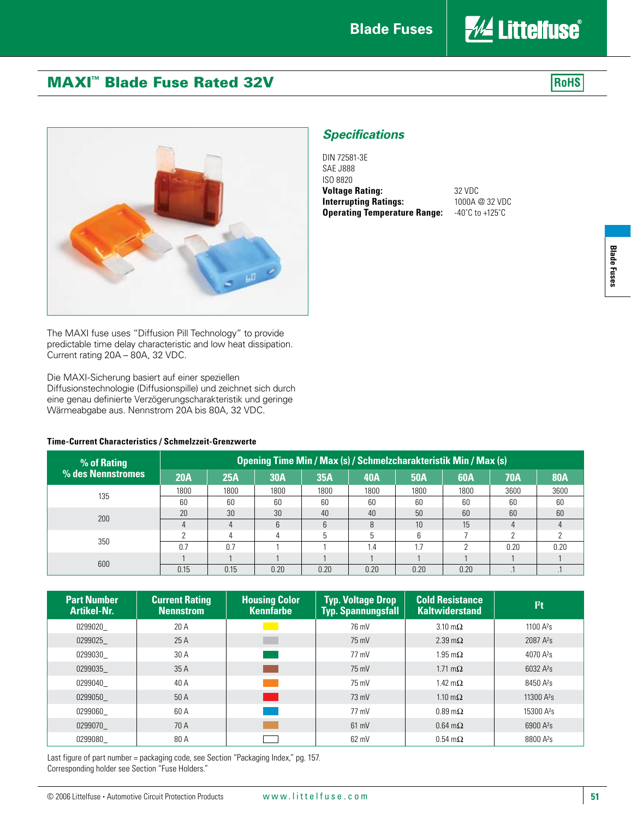**Voltage Rating:** 32 VDC **Interrupting Ratings:** 1000A @ 32 VDC **Operating Temperature Range:** -40˚C to +125˚C

*Specifications*

DIN 72581-3E SAE J888 ISO 8820



## MAXI™ Blade Fuse Rated 32V





The MAXI fuse uses "Diffusion Pill Technology" to provide predictable time delay characteristic and low heat dissipation. Current rating 20A – 80A, 32 VDC.

Die MAXI-Sicherung basiert auf einer speziellen Diffusionstechnologie (Diffusionspille) und zeichnet sich durch eine genau definierte Verzögerungscharakteristik und geringe Wärmeabgabe aus. Nennstrom 20A bis 80A, 32 VDC.

## **Time-Current Characteristics / Schmelzzeit-Grenzwerte**

## **% of Rating % des Nennstromes Opening Time Min / Max (s) / Schmelzcharakteristik Min / Max (s) 20A 25A 30A 35A 40A 50A 60A 70A 80A** <sup>135</sup> 1800 1800 1800 1800 1800 1800 1800 3600 3600 60 | 60 | 60 | 60 | 60 | 60 | 60 | 60 <sup>200</sup> 20 30 30 40 40 50 60 60 60 4 | 4 | 6 | 6 | 8 | 10 | 15 | 4 | 4 350 2 4 4 5 5 6 7 2 2 0.7 0.7 1 1 1 1.4 1.7 2 0.20 0.20 <sup>600</sup> 1 1 1 1 1 1 1 1 <sup>1</sup> 0.15 0.15 0.20 0.20 0.20 0.20 0.20 .1 .1

| <b>Part Number</b><br><b>Artikel-Nr.</b> | <b>Current Rating</b><br><b>Nennstrom</b> | <b>Housing Color</b><br><b>Kennfarbe</b> | <b>Typ. Voltage Drop</b><br><b>Typ. Spannungsfall</b> | <b>Cold Resistance</b><br><b>Kaltwiderstand</b> | l <sup>2</sup> t                 |
|------------------------------------------|-------------------------------------------|------------------------------------------|-------------------------------------------------------|-------------------------------------------------|----------------------------------|
| 0299020                                  | 20 A                                      |                                          | 76 mV                                                 | $3.10 \text{ m}\Omega$                          | 1100 $A^{2}s$                    |
| 0299025                                  | 25A                                       |                                          | 75 mV                                                 | $2.39 \text{ m}\Omega$                          | 2087 A <sup>2</sup> <sub>S</sub> |
| 0299030                                  | 30 A                                      |                                          | 77 mV                                                 | $1.95 \text{ m}\Omega$                          | 4070 $A^{2}s$                    |
| 0299035                                  | 35 A                                      |                                          | 75 mV                                                 | 1.71 m $\Omega$                                 | $6032 \text{ A}^2$ s             |
| 0299040                                  | 40 A                                      |                                          | 75 mV                                                 | 1.42 m $\Omega$                                 | 8450 A <sup>2</sup> s            |
| 0299050                                  | 50 A                                      |                                          | $73 \text{ mV}$                                       | 1.10 m $\Omega$                                 | 11300 $A^2s$                     |
| 0299060                                  | 60 A                                      |                                          | 77 mV                                                 | $0.89 \text{ m}\Omega$                          | 15300 A <sup>2</sup> s           |
| 0299070                                  | 70 A                                      |                                          | 61 mV                                                 | $0.64 \text{ m}\Omega$                          | 6900 A <sup>2</sup> s            |
| 0299080                                  | 80 A                                      |                                          | $62$ mV                                               | $0.54 \text{ m}\Omega$                          | 8800 A <sup>2</sup> s            |

Last figure of part number = packaging code, see Section "Packaging Index," pg. 157. Corresponding holder see Section "Fuse Holders."

**Blade Fuses**

**Blade Fuses**